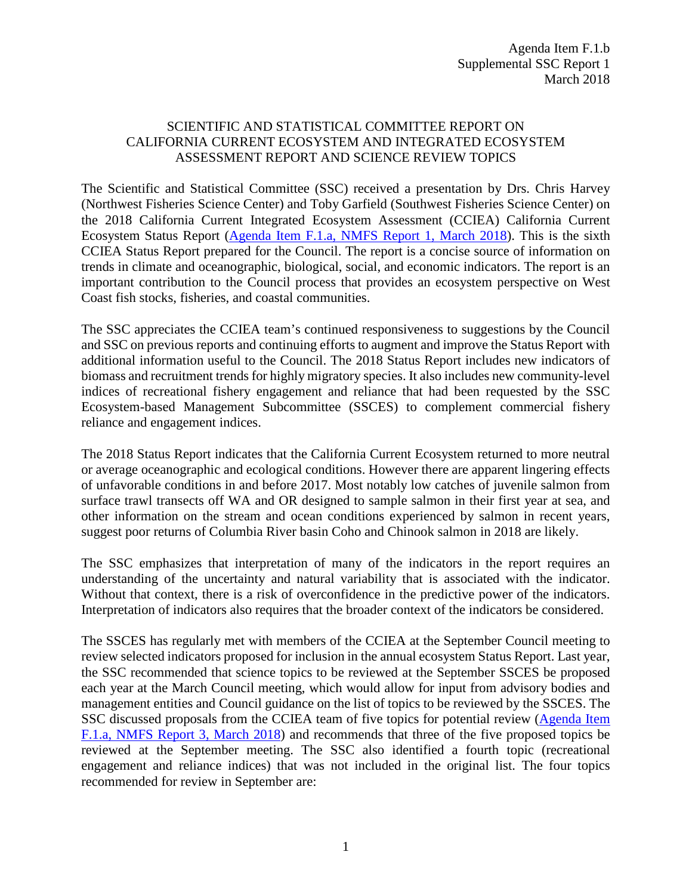## SCIENTIFIC AND STATISTICAL COMMITTEE REPORT ON CALIFORNIA CURRENT ECOSYSTEM AND INTEGRATED ECOSYSTEM ASSESSMENT REPORT AND SCIENCE REVIEW TOPICS

The Scientific and Statistical Committee (SSC) received a presentation by Drs. Chris Harvey (Northwest Fisheries Science Center) and Toby Garfield (Southwest Fisheries Science Center) on the 2018 California Current Integrated Ecosystem Assessment (CCIEA) California Current Ecosystem Status Report [\(Agenda Item F.1.a, NMFS Report 1, March 2018\)](https://www.pcouncil.org/wp-content/uploads/2018/02/F1a_NMFS_Rpt1_2018_IEA_SoCC_FINAL_main_Mar2018BB.pdf). This is the sixth CCIEA Status Report prepared for the Council. The report is a concise source of information on trends in climate and oceanographic, biological, social, and economic indicators. The report is an important contribution to the Council process that provides an ecosystem perspective on West Coast fish stocks, fisheries, and coastal communities.

The SSC appreciates the CCIEA team's continued responsiveness to suggestions by the Council and SSC on previous reports and continuing efforts to augment and improve the Status Report with additional information useful to the Council. The 2018 Status Report includes new indicators of biomass and recruitment trends for highly migratory species. It also includes new community-level indices of recreational fishery engagement and reliance that had been requested by the SSC Ecosystem-based Management Subcommittee (SSCES) to complement commercial fishery reliance and engagement indices.

The 2018 Status Report indicates that the California Current Ecosystem returned to more neutral or average oceanographic and ecological conditions. However there are apparent lingering effects of unfavorable conditions in and before 2017. Most notably low catches of juvenile salmon from surface trawl transects off WA and OR designed to sample salmon in their first year at sea, and other information on the stream and ocean conditions experienced by salmon in recent years, suggest poor returns of Columbia River basin Coho and Chinook salmon in 2018 are likely.

The SSC emphasizes that interpretation of many of the indicators in the report requires an understanding of the uncertainty and natural variability that is associated with the indicator. Without that context, there is a risk of overconfidence in the predictive power of the indicators. Interpretation of indicators also requires that the broader context of the indicators be considered.

The SSCES has regularly met with members of the CCIEA at the September Council meeting to review selected indicators proposed for inclusion in the annual ecosystem Status Report. Last year, the SSC recommended that science topics to be reviewed at the September SSCES be proposed each year at the March Council meeting, which would allow for input from advisory bodies and management entities and Council guidance on the list of topics to be reviewed by the SSCES. The SSC discussed proposals from the CCIEA team of five topics for potential review [\(Agenda Item](https://www.pcouncil.org/wp-content/uploads/2018/02/F1a_NMFS_Rpt3_ecosystem_science_proposed_topics_020918_Mar2018BB.pdf)  F.1.a, [NMFS Report 3, March 2018\)](https://www.pcouncil.org/wp-content/uploads/2018/02/F1a_NMFS_Rpt3_ecosystem_science_proposed_topics_020918_Mar2018BB.pdf) and recommends that three of the five proposed topics be reviewed at the September meeting. The SSC also identified a fourth topic (recreational engagement and reliance indices) that was not included in the original list. The four topics recommended for review in September are: